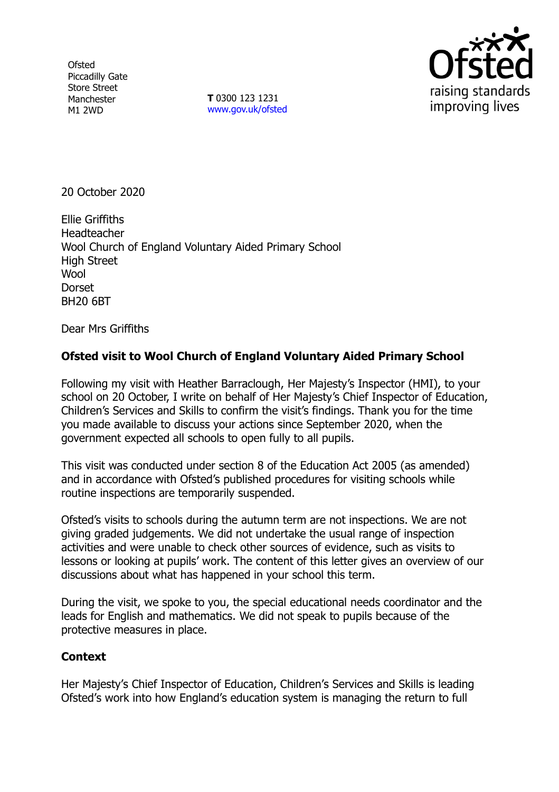**Ofsted** Piccadilly Gate Store Street Manchester M1 2WD

**T** 0300 123 1231 [www.gov.uk/ofsted](http://www.gov.uk/ofsted)



20 October 2020

Ellie Griffiths **Headteacher** Wool Church of England Voluntary Aided Primary School High Street **Wool Dorset** BH20 6BT

Dear Mrs Griffiths

## **Ofsted visit to Wool Church of England Voluntary Aided Primary School**

Following my visit with Heather Barraclough, Her Majesty's Inspector (HMI), to your school on 20 October, I write on behalf of Her Majesty's Chief Inspector of Education, Children's Services and Skills to confirm the visit's findings. Thank you for the time you made available to discuss your actions since September 2020, when the government expected all schools to open fully to all pupils.

This visit was conducted under section 8 of the Education Act 2005 (as amended) and in accordance with Ofsted's published procedures for visiting schools while routine inspections are temporarily suspended.

Ofsted's visits to schools during the autumn term are not inspections. We are not giving graded judgements. We did not undertake the usual range of inspection activities and were unable to check other sources of evidence, such as visits to lessons or looking at pupils' work. The content of this letter gives an overview of our discussions about what has happened in your school this term.

During the visit, we spoke to you, the special educational needs coordinator and the leads for English and mathematics. We did not speak to pupils because of the protective measures in place.

## **Context**

Her Majesty's Chief Inspector of Education, Children's Services and Skills is leading Ofsted's work into how England's education system is managing the return to full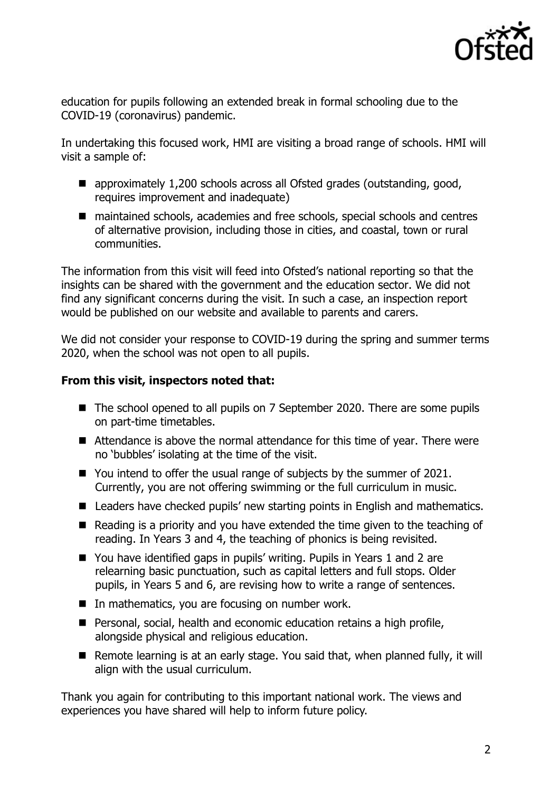

education for pupils following an extended break in formal schooling due to the COVID-19 (coronavirus) pandemic.

In undertaking this focused work, HMI are visiting a broad range of schools. HMI will visit a sample of:

- approximately 1,200 schools across all Ofsted grades (outstanding, good, requires improvement and inadequate)
- maintained schools, academies and free schools, special schools and centres of alternative provision, including those in cities, and coastal, town or rural communities.

The information from this visit will feed into Ofsted's national reporting so that the insights can be shared with the government and the education sector. We did not find any significant concerns during the visit. In such a case, an inspection report would be published on our website and available to parents and carers.

We did not consider your response to COVID-19 during the spring and summer terms 2020, when the school was not open to all pupils.

## **From this visit, inspectors noted that:**

- The school opened to all pupils on 7 September 2020. There are some pupils on part-time timetables.
- Attendance is above the normal attendance for this time of year. There were no 'bubbles' isolating at the time of the visit.
- You intend to offer the usual range of subjects by the summer of 2021. Currently, you are not offering swimming or the full curriculum in music.
- Leaders have checked pupils' new starting points in English and mathematics.
- Reading is a priority and you have extended the time given to the teaching of reading. In Years 3 and 4, the teaching of phonics is being revisited.
- You have identified gaps in pupils' writing. Pupils in Years 1 and 2 are relearning basic punctuation, such as capital letters and full stops. Older pupils, in Years 5 and 6, are revising how to write a range of sentences.
- $\blacksquare$  In mathematics, you are focusing on number work.
- Personal, social, health and economic education retains a high profile, alongside physical and religious education.
- Remote learning is at an early stage. You said that, when planned fully, it will align with the usual curriculum.

Thank you again for contributing to this important national work. The views and experiences you have shared will help to inform future policy.